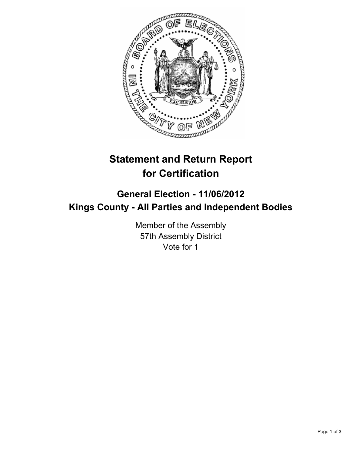

## **Statement and Return Report for Certification**

## **General Election - 11/06/2012 Kings County - All Parties and Independent Bodies**

Member of the Assembly 57th Assembly District Vote for 1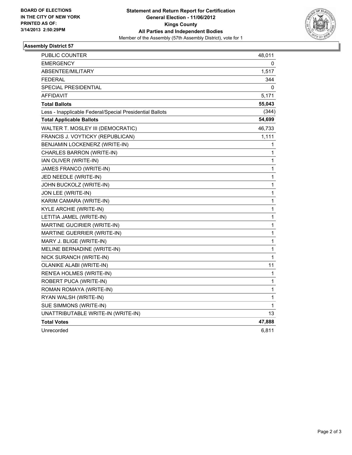

## **Assembly District 57**

| PUBLIC COUNTER                                           | 48,011      |
|----------------------------------------------------------|-------------|
| <b>EMERGENCY</b>                                         | 0           |
| <b>ABSENTEE/MILITARY</b>                                 | 1,517       |
| <b>FEDERAL</b>                                           | 344         |
| SPECIAL PRESIDENTIAL                                     | 0           |
| <b>AFFIDAVIT</b>                                         | 5,171       |
| <b>Total Ballots</b>                                     | 55,043      |
| Less - Inapplicable Federal/Special Presidential Ballots | (344)       |
| <b>Total Applicable Ballots</b>                          | 54,699      |
| WALTER T. MOSLEY III (DEMOCRATIC)                        | 46,733      |
| FRANCIS J. VOYTICKY (REPUBLICAN)                         | 1,111       |
| BENJAMIN LOCKENERZ (WRITE-IN)                            | 1           |
| CHARLES BARRON (WRITE-IN)                                | 1           |
| IAN OLIVER (WRITE-IN)                                    | 1           |
| JAMES FRANCO (WRITE-IN)                                  | 1           |
| JED NEEDLE (WRITE-IN)                                    | 1           |
| JOHN BUCKOLZ (WRITE-IN)                                  | 1           |
| JON LEE (WRITE-IN)                                       | 1           |
| KARIM CAMARA (WRITE-IN)                                  | 1           |
| KYLE ARCHIE (WRITE-IN)                                   | 1           |
| LETITIA JAMEL (WRITE-IN)                                 | 1           |
| MARTINE GUCIRIER (WRITE-IN)                              | 1           |
| <b>MARTINE GUERRIER (WRITE-IN)</b>                       | $\mathbf 1$ |
| MARY J. BLIGE (WRITE-IN)                                 | 1           |
| MELINE BERNADINE (WRITE-IN)                              | 1           |
| NICK SURANCH (WRITE-IN)                                  | 1           |
| OLANIKE ALABI (WRITE-IN)                                 | 11          |
| REN'EA HOLMES (WRITE-IN)                                 | 1           |
| ROBERT PUCA (WRITE-IN)                                   | 1           |
| ROMAN ROMAYA (WRITE-IN)                                  | 1           |
| RYAN WALSH (WRITE-IN)                                    | 1           |
| SUE SIMMONS (WRITE-IN)                                   | 1           |
| UNATTRIBUTABLE WRITE-IN (WRITE-IN)                       | 13          |
| <b>Total Votes</b>                                       | 47,888      |
| Unrecorded                                               | 6,811       |